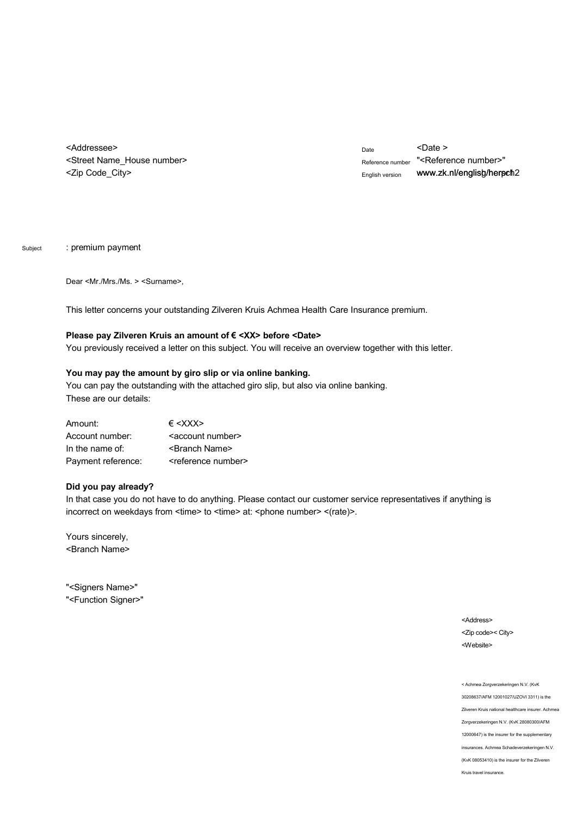<Addressee> <Street Name\_House number> <Zip Code\_City>

Date <Date > Reference number "<Reference number>" English version www.zk.nl/englisg/herpch2

Subject : premium payment

Dear <Mr./Mrs./Ms. > <Surname>,

This letter concerns your outstanding Zilveren Kruis Achmea Health Care Insurance premium.

## Please pay Zilveren Kruis an amount of € <XX> before <Date>

You previously received a letter on this subject. You will receive an overview together with this letter.

## **You may pay the amount by giro slip or via online banking.**

You can pay the outstanding with the attached giro slip, but also via online banking. These are our details:

| Amount:            | $\epsilon$ <xxx></xxx>            |  |  |
|--------------------|-----------------------------------|--|--|
| Account number:    | <account number=""></account>     |  |  |
| In the name of:    | <branch name=""></branch>         |  |  |
| Payment reference: | <reference number=""></reference> |  |  |

## **Did you pay already?**

In that case you do not have to do anything. Please contact our customer service representatives if anything is incorrect on weekdays from <time> to <time> at: <phone number> <(rate)>.

Yours sincerely, <Branch Name>

"<Signers Name>" "<Function Signer>"

> <Address> <Zip code>< City> <Website>

< Achmea Zorgverzekeringen N.V. (KvK 30208637/AFM 12001027/UZOVI 3311) is the Zilveren Kruis national healthcare insurer. Achmea Zorgverzekeringen N.V. (KvK 28080300/AFM 12000647) is the insurer for the supplementary insurances. Achmea Schadeverzekeringen N.V. (KvK 08053410) is the insurer for the Zilveren Kruis travel insurance.